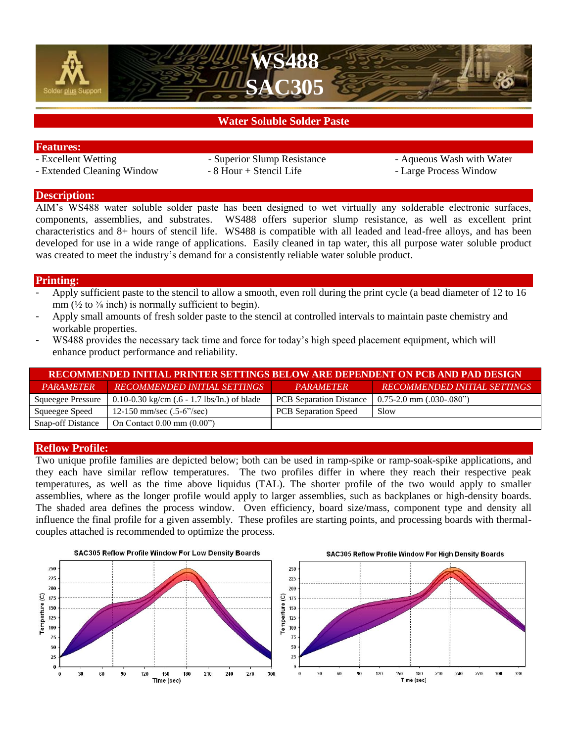



# **Water Soluble Solder Paste**

- **Features:**
- Extended Cleaning Window 8 Hour + Stencil Life Large Process Window
- 
- Superior Slump Resistance Aqueous Wash with Water

### **Description:**

AIM's WS488 water soluble solder paste has been designed to wet virtually any solderable electronic surfaces, components, assemblies, and substrates. WS488 offers superior slump resistance, as well as excellent print characteristics and 8+ hours of stencil life. WS488 is compatible with all leaded and lead-free alloys, and has been developed for use in a wide range of applications. Easily cleaned in tap water, this all purpose water soluble product was created to meet the industry's demand for a consistently reliable water soluble product.

#### **Printing:**

- Apply sufficient paste to the stencil to allow a smooth, even roll during the print cycle (a bead diameter of 12 to 16 mm ( $\frac{1}{2}$  to  $\frac{5}{8}$  inch) is normally sufficient to begin).
- Apply small amounts of fresh solder paste to the stencil at controlled intervals to maintain paste chemistry and workable properties.
- WS488 provides the necessary tack time and force for today's high speed placement equipment, which will enhance product performance and reliability.

| RECOMMENDED INITIAL PRINTER SETTINGS BELOW ARE DEPENDENT ON PCB AND PAD DESIGN |                                                       |                                |                                     |  |  |  |
|--------------------------------------------------------------------------------|-------------------------------------------------------|--------------------------------|-------------------------------------|--|--|--|
| <i><b>PARAMETER</b></i>                                                        | RECOMMENDED INITIAL SETTINGS                          | <b>PARAMETER</b>               | <b>RECOMMENDED INITIAL SETTINGS</b> |  |  |  |
| <b>Squeegee Pressure</b>                                                       | 0.10-0.30 kg/cm $(.6 - 1.7 \text{ lbs/In.})$ of blade | <b>PCB</b> Separation Distance | $0.75-2.0$ mm $(.030-.080")$        |  |  |  |
| Squeegee Speed                                                                 | 12-150 mm/sec $(.5-6$ <sup>2</sup> /sec)              | <b>PCB</b> Separation Speed    | Slow                                |  |  |  |
| <b>Snap-off Distance</b>                                                       | On Contact $0.00 \text{ mm}$ $(0.00")$                |                                |                                     |  |  |  |

#### **Reflow Profile:**

Two unique profile families are depicted below; both can be used in ramp-spike or ramp-soak-spike applications, and they each have similar reflow temperatures. The two profiles differ in where they reach their respective peak temperatures, as well as the time above liquidus (TAL). The shorter profile of the two would apply to smaller assemblies, where as the longer profile would apply to larger assemblies, such as backplanes or high-density boards. The shaded area defines the process window. Oven efficiency, board size/mass, component type and density all influence the final profile for a given assembly. These profiles are starting points, and processing boards with thermalcouples attached is recommended to optimize the process.



#### **SAC305 Reflow Profile Window For High Density Boards**

120

150

180

Time (sec)

210

240

270

300

330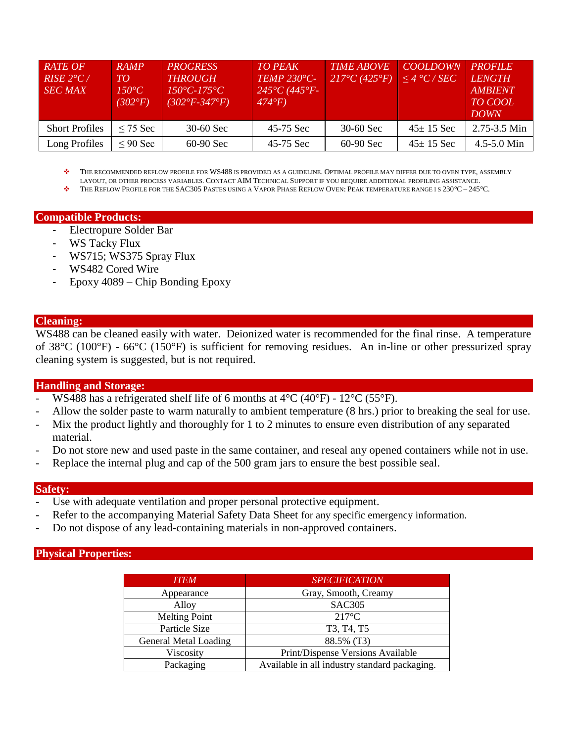| <b>RATE OF</b><br>$RISE 2^{\circ}C$<br><b>SEC MAX</b> | <b>RAMP</b><br>TО<br>$150^{\circ}C$<br>$(302^{\circ}F)$ | <b>PROGRESS</b><br><b>THROUGH</b><br>$150^{\circ}C - 175^{\circ}C$<br>$(302^{\circ}F - 347^{\circ}F)$ | <b>TO PEAK</b><br><b>TEMP 230°C-</b><br>$245^{\circ}C(445^{\circ}F -$<br>$474^{\circ}F$ | <b>TIME ABOVE</b><br>$217^{\circ}C(425^{\circ}F)$ | <b>COOLDOWN</b><br>$\leq$ 4 °C / SEC | <b>PROFILE</b><br><b>LENGTH</b><br><b>AMBIENT</b><br><b>TO COOL</b><br><b>DOWN</b> |
|-------------------------------------------------------|---------------------------------------------------------|-------------------------------------------------------------------------------------------------------|-----------------------------------------------------------------------------------------|---------------------------------------------------|--------------------------------------|------------------------------------------------------------------------------------|
| <b>Short Profiles</b>                                 | $\leq$ 75 Sec                                           | $30-60$ Sec                                                                                           | 45-75 Sec                                                                               | $30-60$ Sec                                       | $45 \pm 15$ Sec                      | 2.75-3.5 Min                                                                       |
| Long Profiles                                         | $\leq 90$ Sec                                           | $60-90$ Sec                                                                                           | 45-75 Sec                                                                               | $60-90$ Sec                                       | $45 \pm 15$ Sec                      | $4.5 - 5.0$ Min                                                                    |

 THE RECOMMENDED REFLOW PROFILE FOR WS488 IS PROVIDED AS A GUIDELINE. OPTIMAL PROFILE MAY DIFFER DUE TO OVEN TYPE, ASSEMBLY LAYOUT, OR OTHER PROCESS VARIABLES. CONTACT AIM TECHNICAL SUPPORT IF YOU REQUIRE ADDITIONAL PROFILING ASSISTANCE.

THE REFLOW PROFILE FOR THE SAC305 PASTES USING A VAPOR PHASE REFLOW OVEN: PEAK TEMPERATURE RANGE I S 230*°*C – 245*°*C.

## **Compatible Products:**

- Electropure Solder Bar
- WS Tacky Flux
- WS715; WS375 Spray Flux
- WS482 Cored Wire
- Epoxy 4089 Chip Bonding Epoxy

#### **Cleaning:**

WS488 can be cleaned easily with water. Deionized water is recommended for the final rinse. A temperature of 38°C (100°F) - 66°C (150°F) is sufficient for removing residues. An in-line or other pressurized spray cleaning system is suggested, but is not required.

#### **Handling and Storage:**

- WS488 has a refrigerated shelf life of 6 months at  $4^{\circ}C$  (40 $^{\circ}F$ ) 12 $^{\circ}C$  (55 $^{\circ}F$ ).
- Allow the solder paste to warm naturally to ambient temperature (8 hrs.) prior to breaking the seal for use.
- Mix the product lightly and thoroughly for 1 to 2 minutes to ensure even distribution of any separated material.
- Do not store new and used paste in the same container, and reseal any opened containers while not in use.
- Replace the internal plug and cap of the 500 gram jars to ensure the best possible seal.

#### **Safety:**

- Use with adequate ventilation and proper personal protective equipment.
- Refer to the accompanying Material Safety Data Sheet for any specific emergency information.
- Do not dispose of any lead-containing materials in non-approved containers.

#### **Physical Properties:**

| <b>ITEM</b>           | <b>SPECIFICATION</b>                             |  |
|-----------------------|--------------------------------------------------|--|
| Appearance            | Gray, Smooth, Creamy                             |  |
| Alloy                 | <b>SAC305</b>                                    |  |
| <b>Melting Point</b>  | $217^{\circ}$ C                                  |  |
| Particle Size         | T <sub>3</sub> , T <sub>4</sub> , T <sub>5</sub> |  |
| General Metal Loading | 88.5% (T3)                                       |  |
| Viscosity             | Print/Dispense Versions Available                |  |
| Packaging             | Available in all industry standard packaging.    |  |